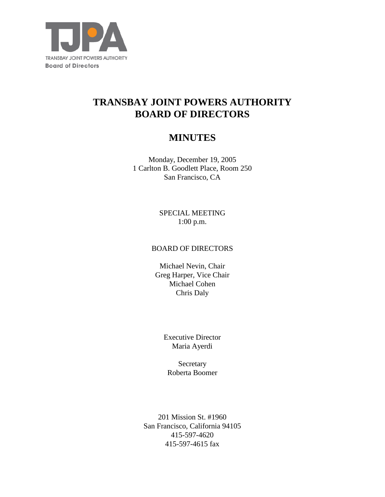

# **TRANSBAY JOINT POWERS AUTHORITY BOARD OF DIRECTORS**

# **MINUTES**

Monday, December 19, 2005 1 Carlton B. Goodlett Place, Room 250 San Francisco, CA

> SPECIAL MEETING 1:00 p.m.

## BOARD OF DIRECTORS

Michael Nevin, Chair Greg Harper, Vice Chair Michael Cohen Chris Daly

> Executive Director Maria Ayerdi

Secretary Roberta Boomer

201 Mission St. #1960 San Francisco, California 94105 415-597-4620 415-597-4615 fax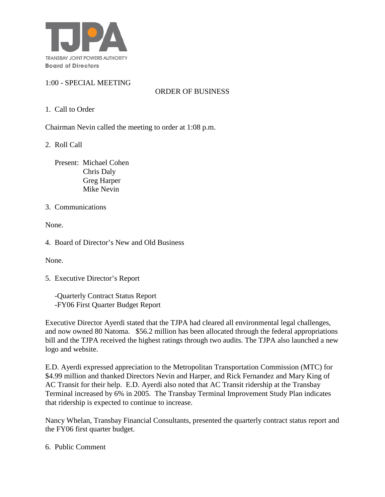

# 1:00 - SPECIAL MEETING

# ORDER OF BUSINESS

1. Call to Order

Chairman Nevin called the meeting to order at 1:08 p.m.

2. Roll Call

 Present: Michael Cohen Chris Daly Greg Harper Mike Nevin

## 3. Communications

None.

4. Board of Director's New and Old Business

None.

5. Executive Director's Report

 -Quarterly Contract Status Report -FY06 First Quarter Budget Report

Executive Director Ayerdi stated that the TJPA had cleared all environmental legal challenges, and now owned 80 Natoma. \$56.2 million has been allocated through the federal appropriations bill and the TJPA received the highest ratings through two audits. The TJPA also launched a new logo and website.

E.D. Ayerdi expressed appreciation to the Metropolitan Transportation Commission (MTC) for \$4.99 million and thanked Directors Nevin and Harper, and Rick Fernandez and Mary King of AC Transit for their help. E.D. Ayerdi also noted that AC Transit ridership at the Transbay Terminal increased by 6% in 2005. The Transbay Terminal Improvement Study Plan indicates that ridership is expected to continue to increase.

Nancy Whelan, Transbay Financial Consultants, presented the quarterly contract status report and the FY06 first quarter budget.

6. Public Comment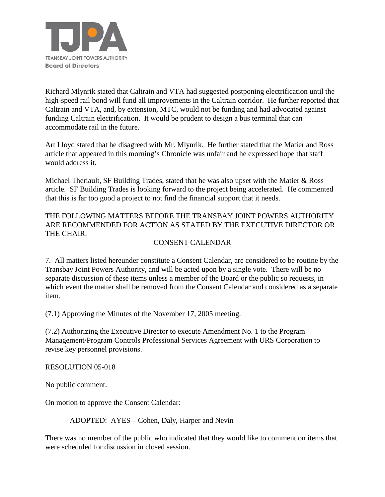

Richard Mlynrik stated that Caltrain and VTA had suggested postponing electrification until the high-speed rail bond will fund all improvements in the Caltrain corridor. He further reported that Caltrain and VTA, and, by extension, MTC, would not be funding and had advocated against funding Caltrain electrification. It would be prudent to design a bus terminal that can accommodate rail in the future.

Art Lloyd stated that he disagreed with Mr. Mlynrik. He further stated that the Matier and Ross article that appeared in this morning's Chronicle was unfair and he expressed hope that staff would address it.

Michael Theriault, SF Building Trades, stated that he was also upset with the Matier  $\&$  Ross article. SF Building Trades is looking forward to the project being accelerated. He commented that this is far too good a project to not find the financial support that it needs.

THE FOLLOWING MATTERS BEFORE THE TRANSBAY JOINT POWERS AUTHORITY ARE RECOMMENDED FOR ACTION AS STATED BY THE EXECUTIVE DIRECTOR OR THE CHAIR.

## CONSENT CALENDAR

7. All matters listed hereunder constitute a Consent Calendar, are considered to be routine by the Transbay Joint Powers Authority, and will be acted upon by a single vote. There will be no separate discussion of these items unless a member of the Board or the public so requests, in which event the matter shall be removed from the Consent Calendar and considered as a separate item.

(7.1) Approving the Minutes of the November 17, 2005 meeting.

(7.2) Authorizing the Executive Director to execute Amendment No. 1 to the Program Management/Program Controls Professional Services Agreement with URS Corporation to revise key personnel provisions.

## RESOLUTION 05-018

No public comment.

On motion to approve the Consent Calendar:

ADOPTED: AYES – Cohen, Daly, Harper and Nevin

There was no member of the public who indicated that they would like to comment on items that were scheduled for discussion in closed session.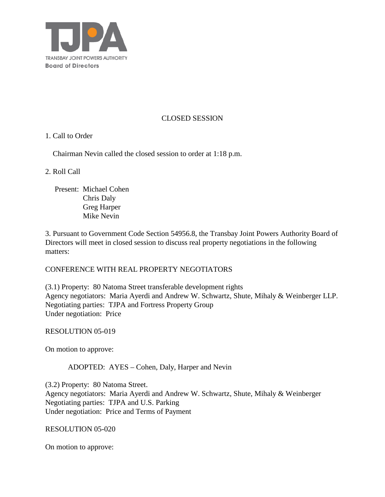

## CLOSED SESSION

## 1. Call to Order

Chairman Nevin called the closed session to order at 1:18 p.m.

## 2. Roll Call

 Present: Michael Cohen Chris Daly Greg Harper Mike Nevin

3. Pursuant to Government Code Section 54956.8, the Transbay Joint Powers Authority Board of Directors will meet in closed session to discuss real property negotiations in the following matters:

## CONFERENCE WITH REAL PROPERTY NEGOTIATORS

(3.1) Property: 80 Natoma Street transferable development rights Agency negotiators: Maria Ayerdi and Andrew W. Schwartz, Shute, Mihaly & Weinberger LLP. Negotiating parties: TJPA and Fortress Property Group Under negotiation: Price

## RESOLUTION 05-019

On motion to approve:

## ADOPTED: AYES – Cohen, Daly, Harper and Nevin

(3.2) Property: 80 Natoma Street. Agency negotiators: Maria Ayerdi and Andrew W. Schwartz, Shute, Mihaly & Weinberger Negotiating parties: TJPA and U.S. Parking Under negotiation: Price and Terms of Payment

## RESOLUTION 05-020

On motion to approve: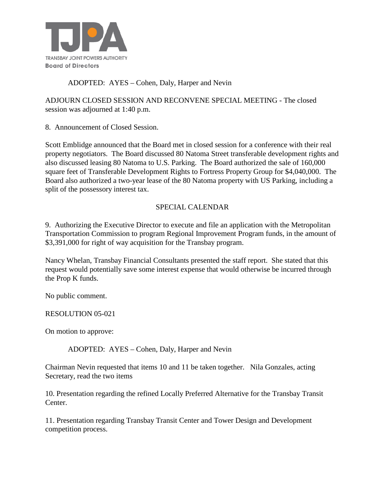

# ADOPTED: AYES – Cohen, Daly, Harper and Nevin

ADJOURN CLOSED SESSION AND RECONVENE SPECIAL MEETING - The closed session was adjourned at 1:40 p.m.

8. Announcement of Closed Session.

Scott Emblidge announced that the Board met in closed session for a conference with their real property negotiators. The Board discussed 80 Natoma Street transferable development rights and also discussed leasing 80 Natoma to U.S. Parking. The Board authorized the sale of 160,000 square feet of Transferable Development Rights to Fortress Property Group for \$4,040,000. The Board also authorized a two-year lease of the 80 Natoma property with US Parking, including a split of the possessory interest tax.

# SPECIAL CALENDAR

9. Authorizing the Executive Director to execute and file an application with the Metropolitan Transportation Commission to program Regional Improvement Program funds, in the amount of \$3,391,000 for right of way acquisition for the Transbay program.

Nancy Whelan, Transbay Financial Consultants presented the staff report. She stated that this request would potentially save some interest expense that would otherwise be incurred through the Prop K funds.

No public comment.

## RESOLUTION 05-021

On motion to approve:

ADOPTED: AYES – Cohen, Daly, Harper and Nevin

Chairman Nevin requested that items 10 and 11 be taken together. Nila Gonzales, acting Secretary, read the two items

10. Presentation regarding the refined Locally Preferred Alternative for the Transbay Transit Center.

11. Presentation regarding Transbay Transit Center and Tower Design and Development competition process.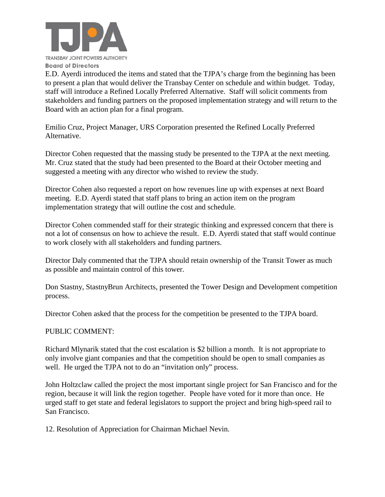

E.D. Ayerdi introduced the items and stated that the TJPA's charge from the beginning has been to present a plan that would deliver the Transbay Center on schedule and within budget. Today, staff will introduce a Refined Locally Preferred Alternative. Staff will solicit comments from stakeholders and funding partners on the proposed implementation strategy and will return to the Board with an action plan for a final program.

Emilio Cruz, Project Manager, URS Corporation presented the Refined Locally Preferred Alternative.

Director Cohen requested that the massing study be presented to the TJPA at the next meeting. Mr. Cruz stated that the study had been presented to the Board at their October meeting and suggested a meeting with any director who wished to review the study.

Director Cohen also requested a report on how revenues line up with expenses at next Board meeting. E.D. Ayerdi stated that staff plans to bring an action item on the program implementation strategy that will outline the cost and schedule.

Director Cohen commended staff for their strategic thinking and expressed concern that there is not a lot of consensus on how to achieve the result. E.D. Ayerdi stated that staff would continue to work closely with all stakeholders and funding partners.

Director Daly commented that the TJPA should retain ownership of the Transit Tower as much as possible and maintain control of this tower.

Don Stastny, StastnyBrun Architects, presented the Tower Design and Development competition process.

Director Cohen asked that the process for the competition be presented to the TJPA board.

## PUBLIC COMMENT:

Richard Mlynarik stated that the cost escalation is \$2 billion a month. It is not appropriate to only involve giant companies and that the competition should be open to small companies as well. He urged the TJPA not to do an "invitation only" process.

John Holtzclaw called the project the most important single project for San Francisco and for the region, because it will link the region together. People have voted for it more than once. He urged staff to get state and federal legislators to support the project and bring high-speed rail to San Francisco.

12. Resolution of Appreciation for Chairman Michael Nevin.